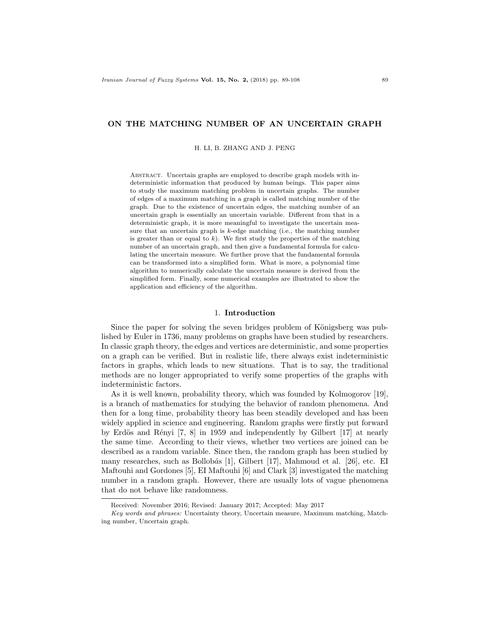## ON THE MATCHING NUMBER OF AN UNCERTAIN GRAPH

H. LI, B. ZHANG AND J. PENG

Abstract. Uncertain graphs are employed to describe graph models with indeterministic information that produced by human beings. This paper aims to study the maximum matching problem in uncertain graphs. The number of edges of a maximum matching in a graph is called matching number of the graph. Due to the existence of uncertain edges, the matching number of an uncertain graph is essentially an uncertain variable. Different from that in a deterministic graph, it is more meaningful to investigate the uncertain measure that an uncertain graph is  $k$ -edge matching (i.e., the matching number is greater than or equal to  $k$ ). We first study the properties of the matching number of an uncertain graph, and then give a fundamental formula for calculating the uncertain measure. We further prove that the fundamental formula can be transformed into a simplified form. What is more, a polynomial time algorithm to numerically calculate the uncertain measure is derived from the simplified form. Finally, some numerical examples are illustrated to show the application and efficiency of the algorithm.

## 1. Introduction

Since the paper for solving the seven bridges problem of Königsberg was published by Euler in 1736, many problems on graphs have been studied by researchers. In classic graph theory, the edges and vertices are deterministic, and some properties on a graph can be verified. But in realistic life, there always exist indeterministic factors in graphs, which leads to new situations. That is to say, the traditional methods are no longer appropriated to verify some properties of the graphs with indeterministic factors.

As it is well known, probability theory, which was founded by Kolmogorov [19], is a branch of mathematics for studying the behavior of random phenomena. And then for a long time, probability theory has been steadily developed and has been widely applied in science and engineering. Random graphs were firstly put forward by Erdös and Rényi  $[7, 8]$  in 1959 and independently by Gilbert  $[17]$  at nearly the same time. According to their views, whether two vertices are joined can be described as a random variable. Since then, the random graph has been studied by many researches, such as Bollob´as [1], Gilbert [17], Mahmoud et al. [26], etc. EI Maftouhi and Gordones [5], EI Maftouhi [6] and Clark [3] investigated the matching number in a random graph. However, there are usually lots of vague phenomena that do not behave like randomness.

Received: November 2016; Revised: January 2017; Accepted: May 2017

Key words and phrases: Uncertainty theory, Uncertain measure, Maximum matching, Matching number, Uncertain graph.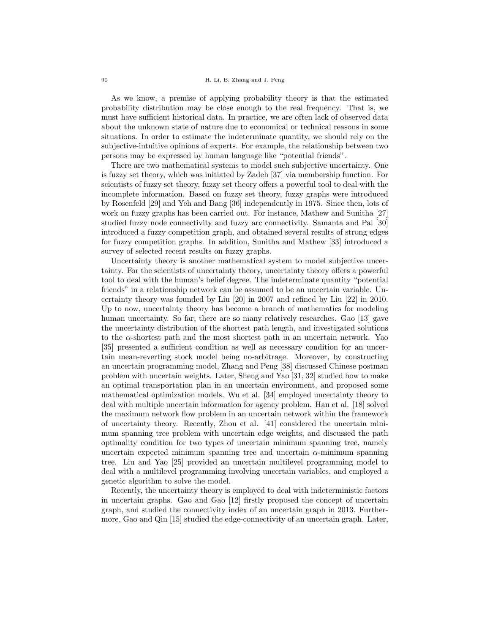As we know, a premise of applying probability theory is that the estimated probability distribution may be close enough to the real frequency. That is, we must have sufficient historical data. In practice, we are often lack of observed data about the unknown state of nature due to economical or technical reasons in some situations. In order to estimate the indeterminate quantity, we should rely on the subjective-intuitive opinions of experts. For example, the relationship between two persons may be expressed by human language like "potential friends".

There are two mathematical systems to model such subjective uncertainty. One is fuzzy set theory, which was initiated by Zadeh [37] via membership function. For scientists of fuzzy set theory, fuzzy set theory offers a powerful tool to deal with the incomplete information. Based on fuzzy set theory, fuzzy graphs were introduced by Rosenfeld [29] and Yeh and Bang [36] independently in 1975. Since then, lots of work on fuzzy graphs has been carried out. For instance, Mathew and Sunitha [27] studied fuzzy node connectivity and fuzzy arc connectivity. Samanta and Pal [30] introduced a fuzzy competition graph, and obtained several results of strong edges for fuzzy competition graphs. In addition, Sunitha and Mathew [33] introduced a survey of selected recent results on fuzzy graphs.

Uncertainty theory is another mathematical system to model subjective uncertainty. For the scientists of uncertainty theory, uncertainty theory offers a powerful tool to deal with the human's belief degree. The indeterminate quantity "potential friends" in a relationship network can be assumed to be an uncertain variable. Uncertainty theory was founded by Liu [20] in 2007 and refined by Liu [22] in 2010. Up to now, uncertainty theory has become a branch of mathematics for modeling human uncertainty. So far, there are so many relatively researches. Gao [13] gave the uncertainty distribution of the shortest path length, and investigated solutions to the  $\alpha$ -shortest path and the most shortest path in an uncertain network. Yao [35] presented a sufficient condition as well as necessary condition for an uncertain mean-reverting stock model being no-arbitrage. Moreover, by constructing an uncertain programming model, Zhang and Peng [38] discussed Chinese postman problem with uncertain weights. Later, Sheng and Yao [31, 32] studied how to make an optimal transportation plan in an uncertain environment, and proposed some mathematical optimization models. Wu et al. [34] employed uncertainty theory to deal with multiple uncertain information for agency problem. Han et al. [18] solved the maximum network flow problem in an uncertain network within the framework of uncertainty theory. Recently, Zhou et al. [41] considered the uncertain minimum spanning tree problem with uncertain edge weights, and discussed the path optimality condition for two types of uncertain minimum spanning tree, namely uncertain expected minimum spanning tree and uncertain  $\alpha$ -minimum spanning tree. Liu and Yao [25] provided an uncertain multilevel programming model to deal with a multilevel programming involving uncertain variables, and employed a genetic algorithm to solve the model.

Recently, the uncertainty theory is employed to deal with indeterministic factors in uncertain graphs. Gao and Gao [12] firstly proposed the concept of uncertain graph, and studied the connectivity index of an uncertain graph in 2013. Furthermore, Gao and Qin [15] studied the edge-connectivity of an uncertain graph. Later,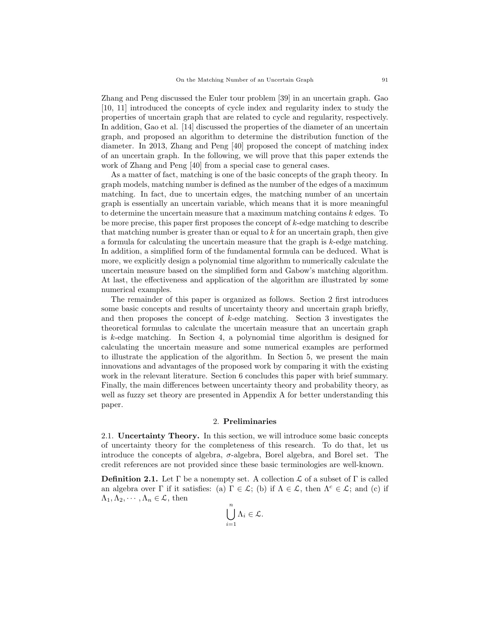Zhang and Peng discussed the Euler tour problem [39] in an uncertain graph. Gao [10, 11] introduced the concepts of cycle index and regularity index to study the properties of uncertain graph that are related to cycle and regularity, respectively. In addition, Gao et al. [14] discussed the properties of the diameter of an uncertain graph, and proposed an algorithm to determine the distribution function of the diameter. In 2013, Zhang and Peng [40] proposed the concept of matching index of an uncertain graph. In the following, we will prove that this paper extends the work of Zhang and Peng [40] from a special case to general cases.

As a matter of fact, matching is one of the basic concepts of the graph theory. In graph models, matching number is defined as the number of the edges of a maximum matching. In fact, due to uncertain edges, the matching number of an uncertain graph is essentially an uncertain variable, which means that it is more meaningful to determine the uncertain measure that a maximum matching contains k edges. To be more precise, this paper first proposes the concept of k-edge matching to describe that matching number is greater than or equal to  $k$  for an uncertain graph, then give a formula for calculating the uncertain measure that the graph is  $k$ -edge matching. In addition, a simplified form of the fundamental formula can be deduced. What is more, we explicitly design a polynomial time algorithm to numerically calculate the uncertain measure based on the simplified form and Gabow's matching algorithm. At last, the effectiveness and application of the algorithm are illustrated by some numerical examples.

The remainder of this paper is organized as follows. Section 2 first introduces some basic concepts and results of uncertainty theory and uncertain graph briefly, and then proposes the concept of k-edge matching. Section 3 investigates the theoretical formulas to calculate the uncertain measure that an uncertain graph is k-edge matching. In Section 4, a polynomial time algorithm is designed for calculating the uncertain measure and some numerical examples are performed to illustrate the application of the algorithm. In Section 5, we present the main innovations and advantages of the proposed work by comparing it with the existing work in the relevant literature. Section 6 concludes this paper with brief summary. Finally, the main differences between uncertainty theory and probability theory, as well as fuzzy set theory are presented in Appendix A for better understanding this paper.

### 2. Preliminaries

2.1. Uncertainty Theory. In this section, we will introduce some basic concepts of uncertainty theory for the completeness of this research. To do that, let us introduce the concepts of algebra, σ-algebra, Borel algebra, and Borel set. The credit references are not provided since these basic terminologies are well-known.

**Definition 2.1.** Let  $\Gamma$  be a nonempty set. A collection  $\mathcal{L}$  of a subset of  $\Gamma$  is called an algebra over Γ if it satisfies: (a)  $\Gamma \in \mathcal{L}$ ; (b) if  $\Lambda \in \mathcal{L}$ , then  $\Lambda^c \in \mathcal{L}$ ; and (c) if  $\Lambda_1, \Lambda_2, \cdots, \Lambda_n \in \mathcal{L}$ , then

$$
\bigcup_{i=1}^n \Lambda_i \in \mathcal{L}.
$$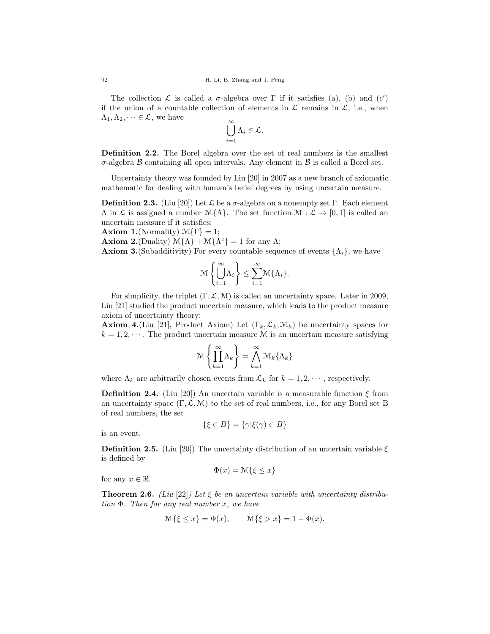The collection  $\mathcal L$  is called a  $\sigma$ -algebra over  $\Gamma$  if it satisfies (a), (b) and (c') if the union of a countable collection of elements in  $\mathcal L$  remains in  $\mathcal L$ , i.e., when  $\Lambda_1, \Lambda_2, \dots \in \mathcal{L}$ , we have

$$
\bigcup_{i=1}^\infty \Lambda_i \in \mathcal{L}.
$$

Definition 2.2. The Borel algebra over the set of real numbers is the smallest  $\sigma$ -algebra  $\beta$  containing all open intervals. Any element in  $\beta$  is called a Borel set.

Uncertainty theory was founded by Liu [20] in 2007 as a new branch of axiomatic mathematic for dealing with human's belief degrees by using uncertain measure.

**Definition 2.3.** (Liu [20]) Let  $\mathcal{L}$  be a  $\sigma$ -algebra on a nonempty set Γ. Each element  $\Lambda$  in  $\mathcal L$  is assigned a number  $\mathcal M\{\Lambda\}$ . The set function  $\mathcal M: \mathcal L \to [0,1]$  is called an uncertain measure if it satisfies:

**Axiom 1.**(Normality)  $\mathcal{M}\{\Gamma\} = 1$ ;

**Axiom 2.**(Duality)  $\mathcal{M}\{\Lambda\} + \mathcal{M}\{\Lambda^c\} = 1$  for any  $\Lambda$ ;

**Axiom 3.**(Subadditivity) For every countable sequence of events  $\{\Lambda_i\}$ , we have

$$
\mathcal{M}\left\{\bigcup_{i=1}^{\infty}\Lambda_i\right\} \leq \sum_{i=1}^{\infty}\mathcal{M}\{\Lambda_i\}.
$$

For simplicity, the triplet  $(\Gamma, \mathcal{L}, \mathcal{M})$  is called an uncertainty space. Later in 2009, Liu [21] studied the product uncertain measure, which leads to the product measure axiom of uncertainty theory:

**Axiom 4.**(Liu [21], Product Axiom) Let  $(\Gamma_k, \mathcal{L}_k, \mathcal{M}_k)$  be uncertainty spaces for  $k = 1, 2, \dots$ . The product uncertain measure M is an uncertain measure satisfying

$$
\mathcal{M}\left\{\prod_{k=1}^{\infty}\Lambda_k\right\} = \bigwedge_{k=1}^{\infty}\mathcal{M}_k\{\Lambda_k\}
$$

where  $\Lambda_k$  are arbitrarily chosen events from  $\mathcal{L}_k$  for  $k = 1, 2, \cdots$ , respectively.

**Definition 2.4.** (Liu [20]) An uncertain variable is a measurable function  $\xi$  from an uncertainty space  $(\Gamma, \mathcal{L}, \mathcal{M})$  to the set of real numbers, i.e., for any Borel set B of real numbers, the set

$$
\{\xi \in B\} = \{\gamma | \xi(\gamma) \in B\}
$$

is an event.

**Definition 2.5.** (Liu [20]) The uncertainty distribution of an uncertain variable  $\xi$ is defined by

$$
\Phi(x) = \mathcal{M}\{\xi \le x\}
$$

for any  $x \in \Re$ .

**Theorem 2.6.** (Liu [22]) Let  $\xi$  be an uncertain variable with uncertainty distribution  $\Phi$ . Then for any real number x, we have

$$
\mathcal{M}\{\xi \le x\} = \Phi(x), \qquad \mathcal{M}\{\xi > x\} = 1 - \Phi(x).
$$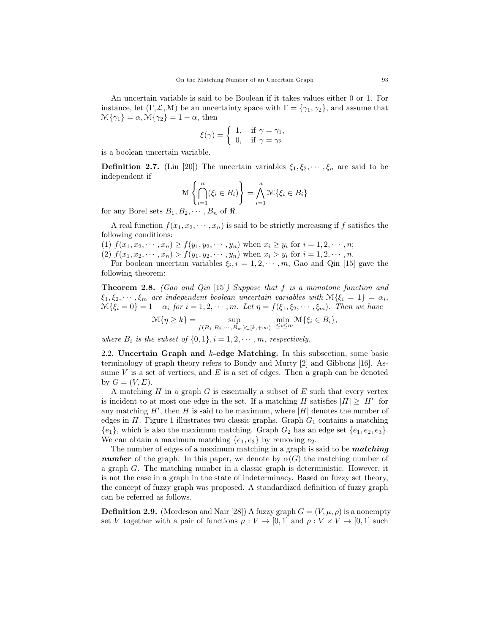An uncertain variable is said to be Boolean if it takes values either 0 or 1. For instance, let  $(\Gamma, \mathcal{L}, \mathcal{M})$  be an uncertainty space with  $\Gamma = {\gamma_1, \gamma_2}$ , and assume that  $\mathcal{M}\{\gamma_1\} = \alpha, \mathcal{M}\{\gamma_2\} = 1 - \alpha$ , then

$$
\xi(\gamma) = \begin{cases} 1, & \text{if } \gamma = \gamma_1, \\ 0, & \text{if } \gamma = \gamma_2 \end{cases}
$$

is a boolean uncertain variable.

**Definition 2.7.** (Liu [20]) The uncertain variables  $\xi_1, \xi_2, \dots, \xi_n$  are said to be independent if

$$
\mathcal{M}\left\{\bigcap_{i=1}^{n}(\xi_{i}\in B_{i})\right\} = \bigwedge_{i=1}^{n} \mathcal{M}\{\xi_{i}\in B_{i}\}
$$

for any Borel sets  $B_1, B_2, \cdots, B_n$  of  $\Re$ .

A real function  $f(x_1, x_2, \dots, x_n)$  is said to be strictly increasing if f satisfies the following conditions:

(1)  $f(x_1, x_2, \dots, x_n) \ge f(y_1, y_2, \dots, y_n)$  when  $x_i \ge y_i$  for  $i = 1, 2, \dots, n$ ;

(2)  $f(x_1, x_2, \dots, x_n) > f(y_1, y_2, \dots, y_n)$  when  $x_i > y_i$  for  $i = 1, 2, \dots, n$ . For boolean uncertain variables  $\xi_i, i = 1, 2, \dots, m$ , Gao and Qin [15] gave the

following theorem:

**Theorem 2.8.** (Gao and Qin [15]) Suppose that f is a monotone function and  $\xi_1, \xi_2, \cdots, \xi_m$  are independent boolean uncertain variables with  $\mathcal{M}\{\xi_i = 1\} = \alpha_i$ ,  $\mathcal{M}\{\xi_i=0\}=1-\alpha_i$  for  $i=1,2,\cdots,m$ . Let  $\eta=f(\xi_1,\xi_2,\cdots,\xi_m)$ . Then we have

$$
\mathcal{M}\{\eta \ge k\} = \sup_{f(B_1, B_2, \cdots, B_m) \subset [k, +\infty)} \min_{1 \le i \le m} \mathcal{M}\{\xi_i \in B_i\},\
$$

where  $B_i$  is the subset of  $\{0,1\}$ ,  $i = 1, 2, \cdots, m$ , respectively.

2.2. Uncertain Graph and k-edge Matching. In this subsection, some basic terminology of graph theory refers to Bondy and Murty [2] and Gibbons [16]. Assume  $V$  is a set of vertices, and  $E$  is a set of edges. Then a graph can be denoted by  $G = (V, E)$ .

A matching  $H$  in a graph  $G$  is essentially a subset of  $E$  such that every vertex is incident to at most one edge in the set. If a matching H satisfies  $|H| \geq |H'|$  for any matching  $H'$ , then H is said to be maximum, where |H| denotes the number of edges in  $H$ . Figure 1 illustrates two classic graphs. Graph  $G_1$  contains a matching  ${e_1}$ , which is also the maximum matching. Graph  $G_2$  has an edge set  ${e_1, e_2, e_3}$ . We can obtain a maximum matching  $\{e_1, e_3\}$  by removing  $e_2$ .

The number of edges of a maximum matching in a graph is said to be *matching* **number** of the graph. In this paper, we denote by  $\alpha(G)$  the matching number of a graph G. The matching number in a classic graph is deterministic. However, it is not the case in a graph in the state of indeterminacy. Based on fuzzy set theory, the concept of fuzzy graph was proposed. A standardized definition of fuzzy graph can be referred as follows.

**Definition 2.9.** (Mordeson and Nair [28]) A fuzzy graph  $G = (V, \mu, \rho)$  is a nonempty set V together with a pair of functions  $\mu: V \to [0, 1]$  and  $\rho: V \times V \to [0, 1]$  such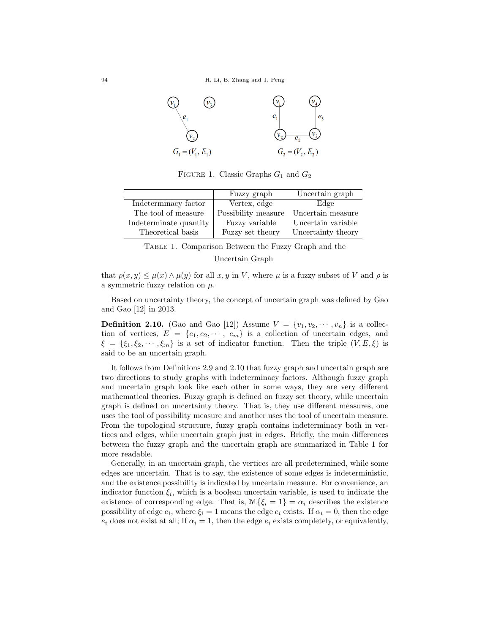

FIGURE 1. Classic Graphs  $G_1$  and  $G_2$ 

|                        | Fuzzy graph         | Uncertain graph    |
|------------------------|---------------------|--------------------|
| Indeterminacy factor   | Vertex, edge        | Edge               |
| The tool of measure    | Possibility measure | Uncertain measure  |
| Indeterminate quantity | Fuzzy variable      | Uncertain variable |
| Theoretical basis      | Fuzzy set theory    | Uncertainty theory |

Table 1. Comparison Between the Fuzzy Graph and the Uncertain Graph

that  $\rho(x, y) \leq \mu(x) \wedge \mu(y)$  for all x, y in V, where  $\mu$  is a fuzzy subset of V and  $\rho$  is a symmetric fuzzy relation on  $\mu$ .

Based on uncertainty theory, the concept of uncertain graph was defined by Gao and Gao [12] in 2013.

**Definition 2.10.** (Gao and Gao [12]) Assume  $V = \{v_1, v_2, \dots, v_n\}$  is a collection of vertices,  $E = \{e_1, e_2, \dots, e_m\}$  is a collection of uncertain edges, and  $\xi = {\xi_1, \xi_2, \cdots, \xi_m}$  is a set of indicator function. Then the triple  $(V, E, \xi)$  is said to be an uncertain graph.

It follows from Definitions 2.9 and 2.10 that fuzzy graph and uncertain graph are two directions to study graphs with indeterminacy factors. Although fuzzy graph and uncertain graph look like each other in some ways, they are very different mathematical theories. Fuzzy graph is defined on fuzzy set theory, while uncertain graph is defined on uncertainty theory. That is, they use different measures, one uses the tool of possibility measure and another uses the tool of uncertain measure. From the topological structure, fuzzy graph contains indeterminacy both in vertices and edges, while uncertain graph just in edges. Briefly, the main differences between the fuzzy graph and the uncertain graph are summarized in Table 1 for more readable.

Generally, in an uncertain graph, the vertices are all predetermined, while some edges are uncertain. That is to say, the existence of some edges is indeterministic, and the existence possibility is indicated by uncertain measure. For convenience, an indicator function  $\xi_i$ , which is a boolean uncertain variable, is used to indicate the existence of corresponding edge. That is,  $\mathcal{M}\{\xi_i=1\}=\alpha_i$  describes the existence possibility of edge  $e_i$ , where  $\xi_i = 1$  means the edge  $e_i$  exists. If  $\alpha_i = 0$ , then the edge  $e_i$  does not exist at all; If  $\alpha_i = 1$ , then the edge  $e_i$  exists completely, or equivalently,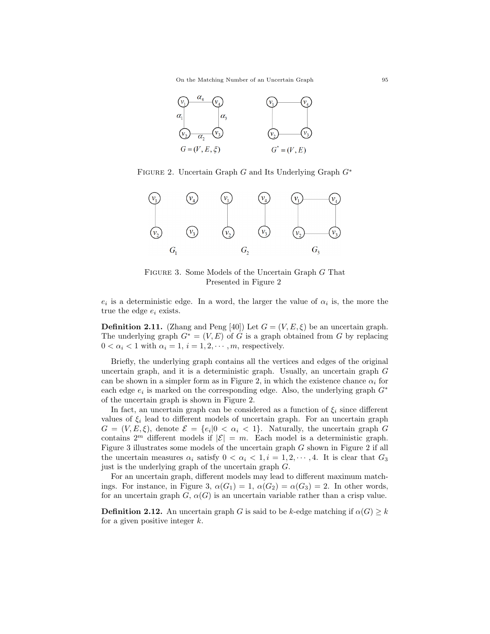On the Matching Number of an Uncertain Graph 95



FIGURE 2. Uncertain Graph G and Its Underlying Graph  $G^*$ 



Figure 3. Some Models of the Uncertain Graph G That Presented in Figure 2

 $e_i$  is a deterministic edge. In a word, the larger the value of  $\alpha_i$  is, the more the true the edge  $e_i$  exists.

**Definition 2.11.** (Zhang and Peng [40]) Let  $G = (V, E, \xi)$  be an uncertain graph. The underlying graph  $G^* = (V, E)$  of G is a graph obtained from G by replacing  $0 < \alpha_i < 1$  with  $\alpha_i = 1, i = 1, 2, \cdots, m$ , respectively.

Briefly, the underlying graph contains all the vertices and edges of the original uncertain graph, and it is a deterministic graph. Usually, an uncertain graph G can be shown in a simpler form as in Figure 2, in which the existence chance  $\alpha_i$  for each edge  $e_i$  is marked on the corresponding edge. Also, the underlying graph  $G^*$ of the uncertain graph is shown in Figure 2.

In fact, an uncertain graph can be considered as a function of  $\xi_i$  since different values of  $\xi_i$  lead to different models of uncertain graph. For an uncertain graph  $G = (V, E, \xi)$ , denote  $\mathcal{E} = \{e_i | 0 < \alpha_i < 1\}$ . Naturally, the uncertain graph G contains  $2^m$  different models if  $|\mathcal{E}| = m$ . Each model is a deterministic graph. Figure 3 illustrates some models of the uncertain graph G shown in Figure 2 if all the uncertain measures  $\alpha_i$  satisfy  $0 < \alpha_i < 1, i = 1, 2, \dots, 4$ . It is clear that  $G_3$ just is the underlying graph of the uncertain graph G.

For an uncertain graph, different models may lead to different maximum matchings. For instance, in Figure 3,  $\alpha(G_1) = 1$ ,  $\alpha(G_2) = \alpha(G_3) = 2$ . In other words, for an uncertain graph  $G, \alpha(G)$  is an uncertain variable rather than a crisp value.

**Definition 2.12.** An uncertain graph G is said to be k-edge matching if  $\alpha(G) \geq k$ for a given positive integer  $k$ .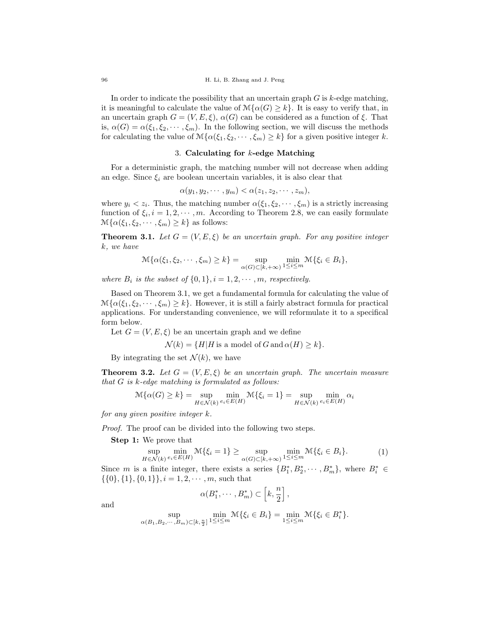In order to indicate the possibility that an uncertain graph  $G$  is  $k$ -edge matching, it is meaningful to calculate the value of  $\mathcal{M}\{\alpha(G)\geq k\}$ . It is easy to verify that, in an uncertain graph  $G = (V, E, \xi)$ ,  $\alpha(G)$  can be considered as a function of  $\xi$ . That is,  $\alpha(G) = \alpha(\xi_1, \xi_2, \dots, \xi_m)$ . In the following section, we will discuss the methods for calculating the value of  $\mathcal{M}\{\alpha(\xi_1,\xi_2,\cdots,\xi_m)\geq k\}$  for a given positive integer k.

# 3. Calculating for  $k$ -edge Matching

For a deterministic graph, the matching number will not decrease when adding an edge. Since  $\xi_i$  are boolean uncertain variables, it is also clear that

$$
\alpha(y_1, y_2, \cdots, y_m) < \alpha(z_1, z_2, \cdots, z_m),
$$

where  $y_i < z_i$ . Thus, the matching number  $\alpha(\xi_1, \xi_2, \dots, \xi_m)$  is a strictly increasing function of  $\xi_i, i = 1, 2, \dots, m$ . According to Theorem 2.8, we can easily formulate  $\mathcal{M}\{\alpha(\xi_1,\xi_2,\cdots,\xi_m)\geq k\}$  as follows:

**Theorem 3.1.** Let  $G = (V, E, \xi)$  be an uncertain graph. For any positive integer k, we have

$$
\mathcal{M}\{\alpha(\xi_1,\xi_2,\cdots,\xi_m)\geq k\}=\sup_{\alpha(G)\subset[k,+\infty)}\min_{1\leq i\leq m}\mathcal{M}\{\xi_i\in B_i\},\
$$

where  $B_i$  is the subset of  $\{0,1\}$ ,  $i = 1, 2, \cdots, m$ , respectively.

Based on Theorem 3.1, we get a fundamental formula for calculating the value of  $\mathcal{M}\{\alpha(\xi_1,\xi_2,\cdots,\xi_m)\geq k\}$ . However, it is still a fairly abstract formula for practical applications. For understanding convenience, we will reformulate it to a specifical form below.

Let  $G = (V, E, \xi)$  be an uncertain graph and we define

$$
\mathcal{N}(k) = \{H|H \text{ is a model of } G \text{ and } \alpha(H) \ge k\}.
$$

By integrating the set  $\mathcal{N}(k)$ , we have

**Theorem 3.2.** Let  $G = (V, E, \xi)$  be an uncertain graph. The uncertain measure that  $G$  is  $k$ -edge matching is formulated as follows:

$$
\mathcal{M}\{\alpha(G)\geq k\}=\sup_{H\in\mathcal{N}(k)}\min_{e_i\in E(H)}\mathcal{M}\{\xi_i=1\}=\sup_{H\in\mathcal{N}(k)}\min_{e_i\in E(H)}\alpha_i
$$

for any given positive integer k.

Proof. The proof can be divided into the following two steps.

Step 1: We prove that

$$
\sup_{H \in \mathcal{N}(k)} \min_{e_i \in E(H)} \mathcal{M}\{\xi_i = 1\} \ge \sup_{\alpha(G) \subset [k, +\infty)} \min_{1 \le i \le m} \mathcal{M}\{\xi_i \in B_i\}.
$$
 (1)

Since m is a finite integer, there exists a series  $\{B_1^*, B_2^*, \cdots, B_m^*\}$ , where  $B_i^* \in$  $\{\{0\},\{1\},\{0,1\}\}, i = 1, 2, \cdots, m$ , such that

$$
\alpha(B_1^*,\cdots,B_m^*)\subset \left[k,\frac{n}{2}\right],
$$

and

$$
\sup_{\alpha(B_1,B_2,\cdots,B_m)\subset[k,\frac{n}{2}]}\min_{1\leq i\leq m}\mathcal{M}\{\xi_i\in B_i\}=\min_{1\leq i\leq m}\mathcal{M}\{\xi_i\in B_i^*\}.
$$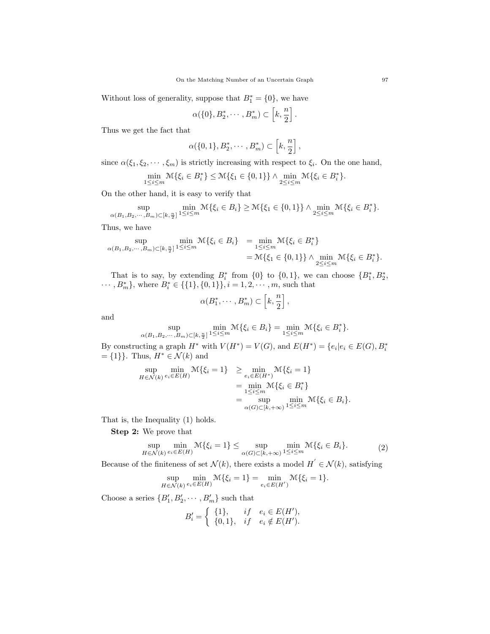Without loss of generality, suppose that  $B_1^* = \{0\}$ , we have

$$
\alpha(\{0\}, B_2^*, \cdots, B_m^*) \subset \left[k, \frac{n}{2}\right].
$$

Thus we get the fact that

$$
\alpha(\{0,1\},B_2^*,\cdots,B_m^*)\subset \left[k,\frac{n}{2}\right],
$$

since  $\alpha(\xi_1, \xi_2, \dots, \xi_m)$  is strictly increasing with respect to  $\xi_i$ . On the one hand,

$$
\min_{1 \le i \le m} \mathcal{M}\{\xi_i \in B_i^*\} \le \mathcal{M}\{\xi_1 \in \{0, 1\}\} \wedge \min_{2 \le i \le m} \mathcal{M}\{\xi_i \in B_i^*\}.
$$

On the other hand, it is easy to verify that

$$
\sup_{\alpha(B_1,B_2,\cdots,B_m)\subset[k,\frac{n}{2}]}\min_{1\leq i\leq m}\mathcal{M}\{\xi_i\in B_i\}\geq \mathcal{M}\{\xi_1\in\{0,1\}\}\wedge \min_{2\leq i\leq m}\mathcal{M}\{\xi_i\in B_i^*\}.
$$

Thus, we have

$$
\sup_{\alpha(B_1, B_2, \dots, B_m) \subset [k, \frac{n}{2}]}\min_{1 \le i \le m} \mathcal{M}\{\xi_i \in B_i\} = \min_{1 \le i \le m} \mathcal{M}\{\xi_i \in B_i^*\} = \mathcal{M}\{\xi_1 \in \{0, 1\}\} \wedge \min_{2 \le i \le m} \mathcal{M}\{\xi_i \in B_i^*\}.
$$

That is to say, by extending  $B_i^*$  from  $\{0\}$  to  $\{0,1\}$ , we can choose  $\{B_1^*, B_2^*,$  $\cdots, B_m^*$ , where  $B_i^* \in \{\{1\}, \{0, 1\}\}, i = 1, 2, \cdots, m$ , such that

$$
\alpha(B_1^*,\cdots,B_m^*)\subset \left[k,\frac{n}{2}\right],
$$

and

$$
\sup_{\alpha(B_1,B_2,\dots,B_m)\subset [k,\frac{n}{2}]} \min_{1\leq i\leq m} \mathcal{M}\{\xi_i \in B_i\} = \min_{1\leq i\leq m} \mathcal{M}\{\xi_i \in B_i^*\}.
$$

By constructing a graph  $H^*$  with  $V(H^*) = V(G)$ , and  $E(H^*) = \{e_i | e_i \in E(G), B_i^* \}$  $=\{1\}$ . Thus,  $H^* \in \mathcal{N}(k)$  and

$$
\sup_{H \in \mathcal{N}(k)} \min_{e_i \in E(H)} \mathcal{M}\{\xi_i = 1\} \ge \min_{e_i \in E(H^*)} \mathcal{M}\{\xi_i = 1\}
$$
\n
$$
= \min_{1 \le i \le m} \mathcal{M}\{\xi_i \in B_i^*\}
$$
\n
$$
= \sup_{\alpha(G) \subset [k, +\infty)} \min_{1 \le i \le m} \mathcal{M}\{\xi_i \in B_i\}.
$$

That is, the Inequality (1) holds.

Step 2: We prove that

$$
\sup_{H \in \mathcal{N}(k)} \min_{e_i \in E(H)} \mathcal{M}\{\xi_i = 1\} \le \sup_{\alpha(G) \subset [k, +\infty)} \min_{1 \le i \le m} \mathcal{M}\{\xi_i \in B_i\}.
$$
 (2)

Because of the finiteness of set  $\mathcal{N}(k)$ , there exists a model  $H^{'} \in \mathcal{N}(k)$ , satisfying

$$
\sup_{H \in \mathcal{N}(k)} \min_{e_i \in E(H)} \mathcal{M}\{\xi_i = 1\} = \min_{e_i \in E(H')} \mathcal{M}\{\xi_i = 1\}.
$$

Choose a series  $\{B'_1, B'_2, \cdots, B'_m\}$  such that

$$
B'_{i} = \begin{cases} \{1\}, & if \quad e_{i} \in E(H'), \\ \{0,1\}, & if \quad e_{i} \notin E(H'). \end{cases}
$$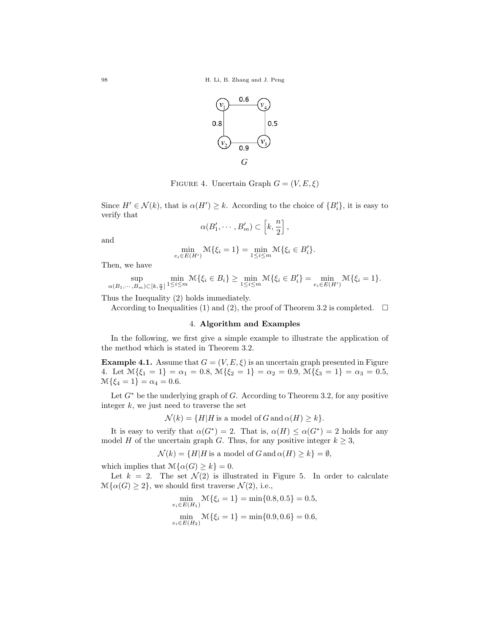

FIGURE 4. Uncertain Graph  $G = (V, E, \xi)$ 

Since  $H' \in \mathcal{N}(k)$ , that is  $\alpha(H') \geq k$ . According to the choice of  $\{B_i'\}$ , it is easy to verify that

$$
\alpha(B'_1,\cdots,B'_m)\subset \left[k,\frac{n}{2}\right],
$$

and

$$
\min_{e_i \in E(H')} \mathcal{M}\{\xi_i = 1\} = \min_{1 \le i \le m} \mathcal{M}\{\xi_i \in B'_i\}.
$$

Then, we have

$$
\sup_{\alpha(B_1,\cdots,B_m)\subset [k,\frac{n}{2}]}\min_{1\leq i\leq m}\mathbb{M}\{\xi_i\in B_i\}\geq \min_{1\leq i\leq m}\mathbb{M}\{\xi_i\in B_i'\}=\min_{e_i\in E(H')}\mathbb{M}\{\xi_i=1\}.
$$

Thus the Inequality (2) holds immediately.

According to Inequalities (1) and (2), the proof of Theorem 3.2 is completed.  $\square$ 

## 4. Algorithm and Examples

In the following, we first give a simple example to illustrate the application of the method which is stated in Theorem 3.2.

**Example 4.1.** Assume that  $G = (V, E, \xi)$  is an uncertain graph presented in Figure 4. Let  $\mathcal{M}\{\xi_1 = 1\} = \alpha_1 = 0.8, \ \mathcal{M}\{\xi_2 = 1\} = \alpha_2 = 0.9, \ \mathcal{M}\{\xi_3 = 1\} = \alpha_3 = 0.5,$  $\mathcal{M}\{\xi_4=1\}=\alpha_4=0.6.$ 

Let  $G^*$  be the underlying graph of G. According to Theorem 3.2, for any positive integer  $k$ , we just need to traverse the set

 $\mathcal{N}(k) = \{H|H$  is a model of G and  $\alpha(H) \geq k\}.$ 

It is easy to verify that  $\alpha(G^*) = 2$ . That is,  $\alpha(H) \leq \alpha(G^*) = 2$  holds for any model H of the uncertain graph G. Thus, for any positive integer  $k \geq 3$ ,

$$
\mathcal{N}(k) = \{H|H \text{ is a model of } G \text{ and } \alpha(H) \ge k\} = \emptyset,
$$

which implies that  $\mathcal{M}{\alpha(G) \geq k} = 0$ .

Let  $k = 2$ . The set  $\mathcal{N}(2)$  is illustrated in Figure 5. In order to calculate  $\mathcal{M}\{\alpha(G)\geq 2\}$ , we should first traverse  $\mathcal{N}(2)$ , i.e.,

$$
\min_{e_i \in E(H_1)} \mathcal{M}\{\xi_i = 1\} = \min\{0.8, 0.5\} = 0.5,
$$
  

$$
\min_{e_i \in E(H_2)} \mathcal{M}\{\xi_i = 1\} = \min\{0.9, 0.6\} = 0.6,
$$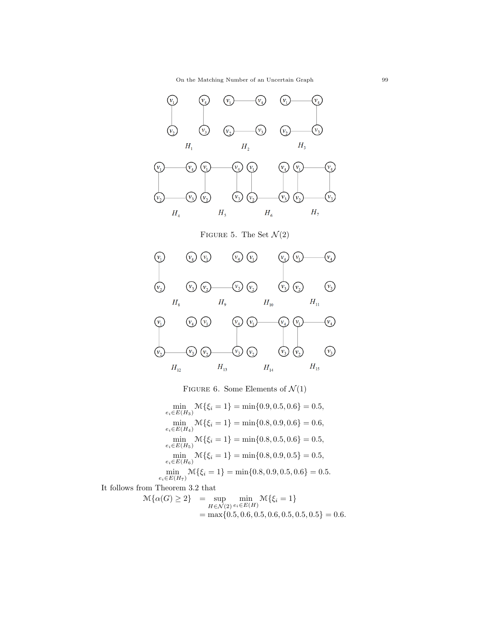On the Matching Number of an Uncertain Graph 99



FIGURE 6. Some Elements of  $\mathcal{N}(1)$ 

 $\min_{e_i \in E(H_3)} \mathcal{M}\{\xi_i = 1\} = \min\{0.9, 0.5, 0.6\} = 0.5,$  $\min_{e_i \in E(H_4)} \mathcal{M}\{\xi_i = 1\} = \min\{0.8, 0.9, 0.6\} = 0.6,$  $\min_{e_i \in E(H_5)} \mathcal{M}\{\xi_i = 1\} = \min\{0.8, 0.5, 0.6\} = 0.5,$  $\min_{e_i \in E(H_6)} \mathcal{M}\{\xi_i = 1\} = \min\{0.8, 0.9, 0.5\} = 0.5,$  $\min_{e_i \in E(H_7)} \mathcal{M}\{\xi_i = 1\} = \min\{0.8, 0.9, 0.5, 0.6\} = 0.5.$ 

It follows from Theorem 3.2 that

$$
\mathcal{M}\{\alpha(G) \ge 2\} = \sup_{H \in \mathcal{N}(2)} \min_{e_i \in E(H)} \mathcal{M}\{\xi_i = 1\}
$$
  
= max{0.5, 0.6, 0.5, 0.6, 0.5, 0.5, 0.5, 0.5} = 0.6.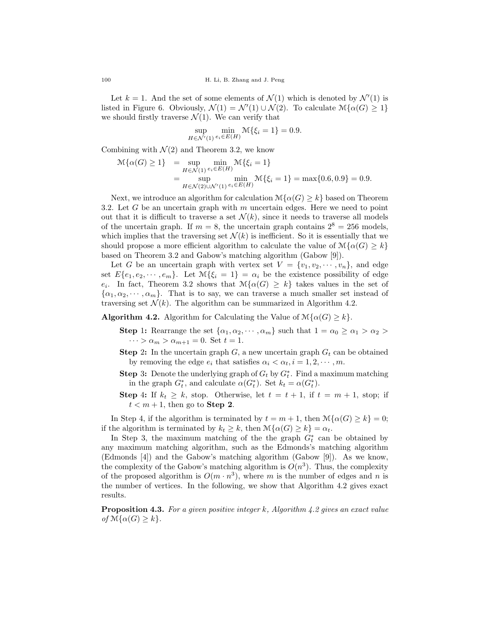Let  $k = 1$ . And the set of some elements of  $\mathcal{N}(1)$  which is denoted by  $\mathcal{N}'(1)$  is listed in Figure 6. Obviously,  $\mathcal{N}(1) = \mathcal{N}'(1) \cup \mathcal{N}(2)$ . To calculate  $\mathcal{M}\{\alpha(G) \geq 1\}$ we should firstly traverse  $\mathcal{N}(1)$ . We can verify that

$$
\sup_{H \in \mathcal{N}'(1)} \min_{e_i \in E(H)} \mathcal{M}\{\xi_i = 1\} = 0.9.
$$

Combining with  $\mathcal{N}(2)$  and Theorem 3.2, we know

$$
\mathcal{M}\{\alpha(G) \ge 1\} = \sup_{H \in \mathcal{N}(1)} \min_{e_i \in E(H)} \mathcal{M}\{\xi_i = 1\}
$$
  
= 
$$
\sup_{H \in \mathcal{N}(2) \cup \mathcal{N}'(1)} \min_{e_i \in E(H)} \mathcal{M}\{\xi_i = 1\} = \max\{0.6, 0.9\} = 0.9.
$$

Next, we introduce an algorithm for calculation  $\mathcal{M}\{\alpha(G)\geq k\}$  based on Theorem 3.2. Let  $G$  be an uncertain graph with  $m$  uncertain edges. Here we need to point out that it is difficult to traverse a set  $\mathcal{N}(k)$ , since it needs to traverse all models of the uncertain graph. If  $m = 8$ , the uncertain graph contains  $2^8 = 256$  models, which implies that the traversing set  $\mathcal{N}(k)$  is inefficient. So it is essentially that we should propose a more efficient algorithm to calculate the value of  $\mathcal{M}\{\alpha(G)\geq k\}$ based on Theorem 3.2 and Gabow's matching algorithm (Gabow [9]).

Let G be an uncertain graph with vertex set  $V = \{v_1, v_2, \dots, v_n\}$ , and edge set  $E\{e_1, e_2, \dots, e_m\}$ . Let  $\mathcal{M}\{\xi_i = 1\} = \alpha_i$  be the existence possibility of edge  $e_i$ . In fact, Theorem 3.2 shows that  $\mathcal{M}\{\alpha(G) \geq k\}$  takes values in the set of  $\{\alpha_1, \alpha_2, \cdots, \alpha_m\}$ . That is to say, we can traverse a much smaller set instead of traversing set  $\mathcal{N}(k)$ . The algorithm can be summarized in Algorithm 4.2.

**Algorithm 4.2.** Algorithm for Calculating the Value of  $\mathcal{M}\{\alpha(G)\geq k\}$ .

- Step 1: Rearrange the set  $\{\alpha_1, \alpha_2, \cdots, \alpha_m\}$  such that  $1 = \alpha_0 \ge \alpha_1 > \alpha_2 >$  $\cdots > \alpha_m > \alpha_{m+1} = 0$ . Set  $t = 1$ .
- **Step 2:** In the uncertain graph  $G$ , a new uncertain graph  $G_t$  can be obtained by removing the edge  $e_i$  that satisfies  $\alpha_i < \alpha_t, i = 1, 2, \cdots, m$ .
- **Step 3:** Denote the underlying graph of  $G_t$  by  $G_t^*$ . Find a maximum matching in the graph  $G_t^*$ , and calculate  $\alpha(G_t^*)$ . Set  $k_t = \alpha(G_t^*)$ .
- Step 4: If  $k_t \geq k$ , stop. Otherwise, let  $t = t + 1$ , if  $t = m + 1$ , stop; if  $t < m + 1$ , then go to **Step 2**.

In Step 4, if the algorithm is terminated by  $t = m + 1$ , then  $\mathcal{M}\{\alpha(G) \geq k\} = 0$ ; if the algorithm is terminated by  $k_t \geq k$ , then  $\mathcal{M}{\alpha(G) \geq k} = \alpha_t$ .

In Step 3, the maximum matching of the the graph  $G_t^*$  can be obtained by any maximum matching algorithm, such as the Edmonds's matching algorithm (Edmonds [4]) and the Gabow's matching algorithm (Gabow [9]). As we know, the complexity of the Gabow's matching algorithm is  $O(n^3)$ . Thus, the complexity of the proposed algorithm is  $O(m \cdot n^3)$ , where m is the number of edges and n is the number of vertices. In the following, we show that Algorithm 4.2 gives exact results.

**Proposition 4.3.** For a given positive integer k, Algorithm 4.2 gives an exact value of  $\mathcal{M}\{\alpha(G)\geq k\}.$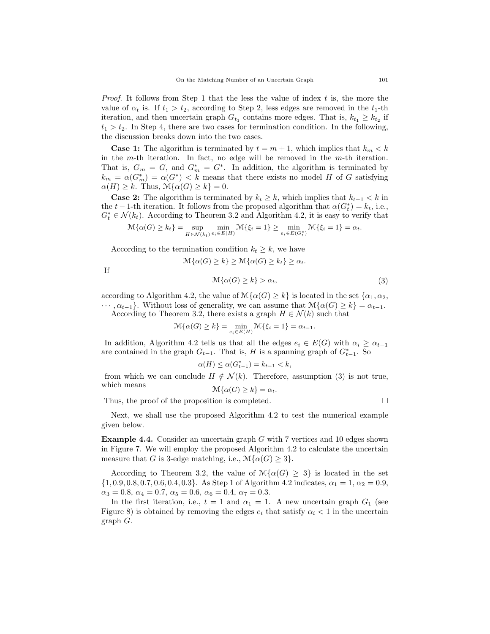*Proof.* It follows from Step 1 that the less the value of index  $t$  is, the more the value of  $\alpha_t$  is. If  $t_1 > t_2$ , according to Step 2, less edges are removed in the  $t_1$ -th iteration, and then uncertain graph  $G_{t_1}$  contains more edges. That is,  $k_{t_1} \geq k_{t_2}$  if  $t_1 > t_2$ . In Step 4, there are two cases for termination condition. In the following, the discussion breaks down into the two cases.

**Case 1:** The algorithm is terminated by  $t = m + 1$ , which implies that  $k_m < k$ in the m-th iteration. In fact, no edge will be removed in the m-th iteration. That is,  $G_m = G$ , and  $G_m^* = G^*$ . In addition, the algorithm is terminated by  $k_m = \alpha(G_m^*) = \alpha(G^*)$  < k means that there exists no model H of G satisfying  $\alpha(H) \geq k$ . Thus,  $\mathcal{M}\{\alpha(G) \geq k\} = 0$ .

**Case 2:** The algorithm is terminated by  $k_t \geq k$ , which implies that  $k_{t-1} < k$  in the  $t - 1$ -th iteration. It follows from the proposed algorithm that  $\alpha(G_t^*) = k_t$ , i.e.,  $G_t^* \in \mathcal{N}(k_t)$ . According to Theorem 3.2 and Algorithm 4.2, it is easy to verify that

$$
\mathcal{M}\{\alpha(G)\geq k_t\}=\sup_{H\in\mathcal{N}(k_t)}\min_{e_i\in E(H)}\mathcal{M}\{\xi_i=1\}\geq \min_{e_i\in E(G_t^*)}\mathcal{M}\{\xi_i=1\}=\alpha_t.
$$

According to the termination condition  $k_t \geq k$ , we have

If 
$$
\mathcal{M}\{\alpha(G) \ge k\} \ge \mathcal{M}\{\alpha(G) \ge k_t\} \ge \alpha_t.
$$

$$
\mathcal{M}\{\alpha(G) \ge k\} > \alpha_t,
$$
 (3)

according to Algorithm 4.2, the value of  $\mathcal{M}\{\alpha(G)\geq k\}$  is located in the set  $\{\alpha_1,\alpha_2,\alpha_3\}$  $\cdots, \alpha_{t-1}$ . Without loss of generality, we can assume that  $\mathcal{M}\{\alpha(G)\geq k\}=\alpha_{t-1}$ .

According to Theorem 3.2, there exists a graph  $H \in \mathcal{N}(k)$  such that

$$
\mathcal{M}\{\alpha(G)\geq k\}=\min_{e_i\in E(H)}\mathcal{M}\{\xi_i=1\}=\alpha_{t-1}.
$$

In addition, Algorithm 4.2 tells us that all the edges  $e_i \in E(G)$  with  $\alpha_i \geq \alpha_{t-1}$ are contained in the graph  $G_{t-1}$ . That is, H is a spanning graph of  $G_{t-1}^*$ . So

$$
\alpha(H) \le \alpha(G_{t-1}^*) = k_{t-1} < k,
$$

from which we can conclude  $H \notin \mathcal{N}(k)$ . Therefore, assumption (3) is not true, which means  $\mathcal{M}{\{\alpha(G) > k\}} = \alpha_t$ .

$$
m_1\alpha(G) \leq \kappa_f = \alpha_t
$$

Thus, the proof of the proposition is completed. 
$$
\Box
$$

Next, we shall use the proposed Algorithm 4.2 to test the numerical example given below.

Example 4.4. Consider an uncertain graph G with 7 vertices and 10 edges shown in Figure 7. We will employ the proposed Algorithm 4.2 to calculate the uncertain measure that G is 3-edge matching, i.e.,  $\mathcal{M}\{\alpha(G)\geq 3\}.$ 

According to Theorem 3.2, the value of  $\mathcal{M}\{\alpha(G) > 3\}$  is located in the set  $\{1, 0.9, 0.8, 0.7, 0.6, 0.4, 0.3\}$ . As Step 1 of Algorithm 4.2 indicates,  $\alpha_1 = 1, \alpha_2 = 0.9$ ,  $\alpha_3 = 0.8, \, \alpha_4 = 0.7, \, \alpha_5 = 0.6, \, \alpha_6 = 0.4, \, \alpha_7 = 0.3.$ 

In the first iteration, i.e.,  $t = 1$  and  $\alpha_1 = 1$ . A new uncertain graph  $G_1$  (see Figure 8) is obtained by removing the edges  $e_i$  that satisfy  $\alpha_i < 1$  in the uncertain graph G.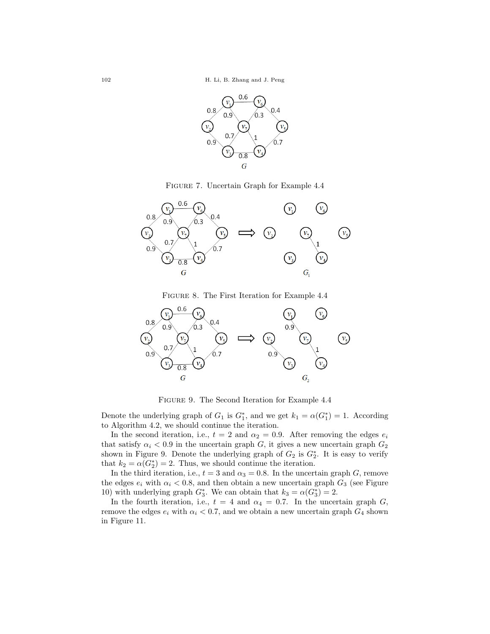

Figure 7. Uncertain Graph for Example 4.4



Figure 8. The First Iteration for Example 4.4



Figure 9. The Second Iteration for Example 4.4

Denote the underlying graph of  $G_1$  is  $G_1^*$ , and we get  $k_1 = \alpha(G_1^*) = 1$ . According to Algorithm 4.2, we should continue the iteration.

In the second iteration, i.e.,  $t = 2$  and  $\alpha_2 = 0.9$ . After removing the edges  $e_i$ that satisfy  $\alpha_i < 0.9$  in the uncertain graph G, it gives a new uncertain graph  $G_2$ shown in Figure 9. Denote the underlying graph of  $G_2$  is  $G_2^*$ . It is easy to verify that  $k_2 = \alpha(G_2^*) = 2$ . Thus, we should continue the iteration.

In the third iteration, i.e.,  $t = 3$  and  $\alpha_3 = 0.8$ . In the uncertain graph G, remove the edges  $e_i$  with  $\alpha_i < 0.8$ , and then obtain a new uncertain graph  $G_3$  (see Figure 10) with underlying graph  $G_3^*$ . We can obtain that  $k_3 = \alpha(G_3^*) = 2$ .

In the fourth iteration, i.e.,  $t = 4$  and  $\alpha_4 = 0.7$ . In the uncertain graph G, remove the edges  $e_i$  with  $\alpha_i < 0.7$ , and we obtain a new uncertain graph  $G_4$  shown in Figure 11.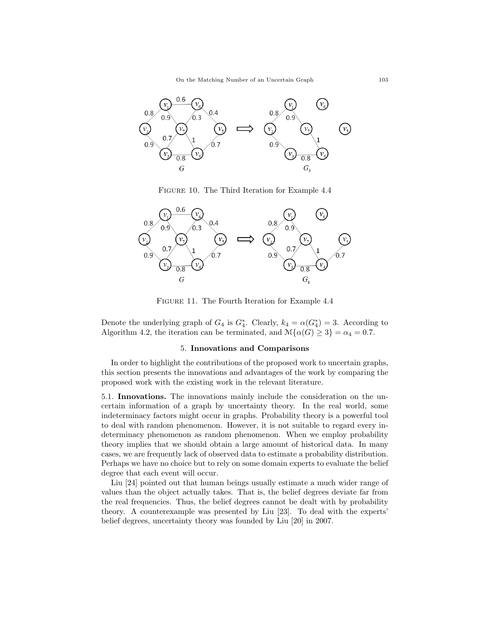

Figure 10. The Third Iteration for Example 4.4



Figure 11. The Fourth Iteration for Example 4.4

Denote the underlying graph of  $G_4$  is  $G_4^*$ . Clearly,  $k_4 = \alpha(G_4^*) = 3$ . According to Algorithm 4.2, the iteration can be terminated, and  $\mathcal{M}{\{\alpha(G) \geq 3\}} = \alpha_4 = 0.7$ .

### 5. Innovations and Comparisons

In order to highlight the contributions of the proposed work to uncertain graphs, this section presents the innovations and advantages of the work by comparing the proposed work with the existing work in the relevant literature.

5.1. Innovations. The innovations mainly include the consideration on the uncertain information of a graph by uncertainty theory. In the real world, some indeterminacy factors might occur in graphs. Probability theory is a powerful tool to deal with random phenomenon. However, it is not suitable to regard every indeterminacy phenomenon as random phenomenon. When we employ probability theory implies that we should obtain a large amount of historical data. In many cases, we are frequently lack of observed data to estimate a probability distribution. Perhaps we have no choice but to rely on some domain experts to evaluate the belief degree that each event will occur.

Liu [24] pointed out that human beings usually estimate a much wider range of values than the object actually takes. That is, the belief degrees deviate far from the real frequencies. Thus, the belief degrees cannot be dealt with by probability theory. A counterexample was presented by Liu [23]. To deal with the experts' belief degrees, uncertainty theory was founded by Liu [20] in 2007.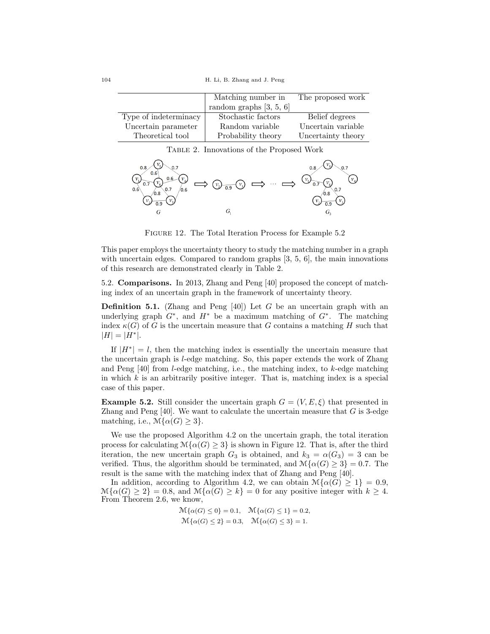104 H. Li, B. Zhang and J. Peng

|                       | Matching number in        | The proposed work  |
|-----------------------|---------------------------|--------------------|
|                       | random graphs $[3, 5, 6]$ |                    |
| Type of indeterminacy | Stochastic factors        | Belief degrees     |
| Uncertain parameter   | Random variable           | Uncertain variable |
| Theoretical tool      | Probability theory        | Uncertainty theory |

Table 2. Innovations of the Proposed Work



FIGURE 12. The Total Iteration Process for Example 5.2

This paper employs the uncertainty theory to study the matching number in a graph with uncertain edges. Compared to random graphs [3, 5, 6], the main innovations of this research are demonstrated clearly in Table 2.

5.2. Comparisons. In 2013, Zhang and Peng [40] proposed the concept of matching index of an uncertain graph in the framework of uncertainty theory.

**Definition 5.1.** (Zhang and Peng [40]) Let G be an uncertain graph with an underlying graph  $G^*$ , and  $H^*$  be a maximum matching of  $G^*$ . The matching index  $\kappa(G)$  of G is the uncertain measure that G contains a matching H such that  $|H| = |H^*|$ .

If  $|H^*| = l$ , then the matching index is essentially the uncertain measure that the uncertain graph is l-edge matching. So, this paper extends the work of Zhang and Peng  $[40]$  from *l*-edge matching, i.e., the matching index, to *k*-edge matching in which  $k$  is an arbitrarily positive integer. That is, matching index is a special case of this paper.

**Example 5.2.** Still consider the uncertain graph  $G = (V, E, \xi)$  that presented in Zhang and Peng  $[40]$ . We want to calculate the uncertain measure that G is 3-edge matching, i.e.,  $\mathcal{M}\{\alpha(G)\geq 3\}.$ 

We use the proposed Algorithm 4.2 on the uncertain graph, the total iteration process for calculating  $\mathcal{M}\{\alpha(G)\geq 3\}$  is shown in Figure 12. That is, after the third iteration, the new uncertain graph  $G_3$  is obtained, and  $k_3 = \alpha(G_3) = 3$  can be verified. Thus, the algorithm should be terminated, and  $\mathcal{M}{\alpha(G) \geq 3} = 0.7$ . The result is the same with the matching index that of Zhang and Peng [40].

In addition, according to Algorithm 4.2, we can obtain  $\mathcal{M}\{\alpha(G)\geq 1\}=0.9$ ,  $\mathcal{M}\{\alpha(G)\geq 2\}=0.8$ , and  $\mathcal{M}\{\alpha(G)\geq k\}=0$  for any positive integer with  $k\geq 4$ . From Theorem 2.6, we know,

$$
\mathcal{M}\{\alpha(G) \le 0\} = 0.1, \quad \mathcal{M}\{\alpha(G) \le 1\} = 0.2, \mathcal{M}\{\alpha(G) \le 2\} = 0.3, \quad \mathcal{M}\{\alpha(G) \le 3\} = 1.
$$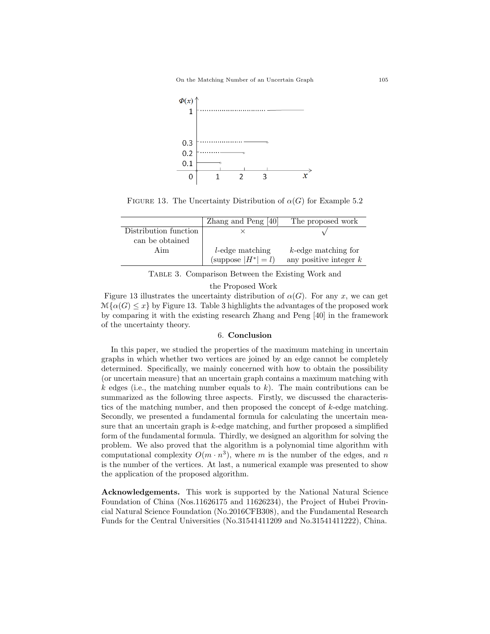

FIGURE 13. The Uncertainty Distribution of  $\alpha(G)$  for Example 5.2

|                       | Zhang and Peng [40]     | The proposed work        |
|-----------------------|-------------------------|--------------------------|
| Distribution function |                         |                          |
| can be obtained       |                         |                          |
| Aim                   | <i>l</i> -edge matching | $k$ -edge matching for   |
|                       | (suppose $ H^*  = l$ )  | any positive integer $k$ |

Table 3. Comparison Between the Existing Work and

the Proposed Work

Figure 13 illustrates the uncertainty distribution of  $\alpha(G)$ . For any x, we can get  $\mathcal{M}\{\alpha(G)\leq x\}$  by Figure 13. Table 3 highlights the advantages of the proposed work by comparing it with the existing research Zhang and Peng [40] in the framework of the uncertainty theory.

## 6. Conclusion

In this paper, we studied the properties of the maximum matching in uncertain graphs in which whether two vertices are joined by an edge cannot be completely determined. Specifically, we mainly concerned with how to obtain the possibility (or uncertain measure) that an uncertain graph contains a maximum matching with  $k$  edges (i.e., the matching number equals to k). The main contributions can be summarized as the following three aspects. Firstly, we discussed the characteristics of the matching number, and then proposed the concept of  $k$ -edge matching. Secondly, we presented a fundamental formula for calculating the uncertain measure that an uncertain graph is  $k$ -edge matching, and further proposed a simplified form of the fundamental formula. Thirdly, we designed an algorithm for solving the problem. We also proved that the algorithm is a polynomial time algorithm with computational complexity  $O(m \cdot n^3)$ , where m is the number of the edges, and n is the number of the vertices. At last, a numerical example was presented to show the application of the proposed algorithm.

Acknowledgements. This work is supported by the National Natural Science Foundation of China (Nos.11626175 and 11626234), the Project of Hubei Provincial Natural Science Foundation (No.2016CFB308), and the Fundamental Research Funds for the Central Universities (No.31541411209 and No.31541411222), China.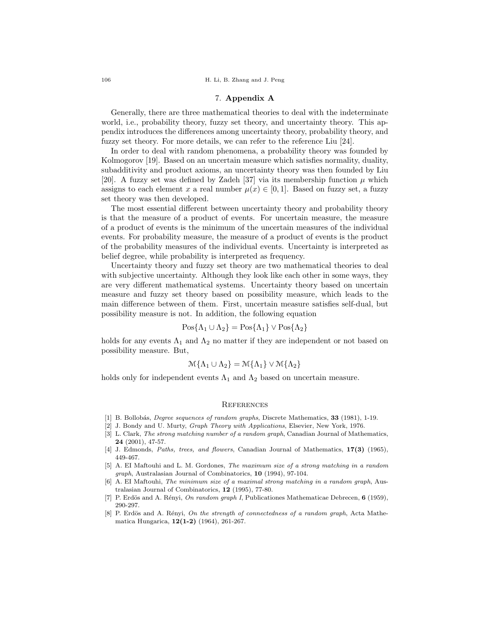106 H. Li, B. Zhang and J. Peng

## 7. Appendix A

Generally, there are three mathematical theories to deal with the indeterminate world, i.e., probability theory, fuzzy set theory, and uncertainty theory. This appendix introduces the differences among uncertainty theory, probability theory, and fuzzy set theory. For more details, we can refer to the reference Liu [24].

In order to deal with random phenomena, a probability theory was founded by Kolmogorov [19]. Based on an uncertain measure which satisfies normality, duality, subadditivity and product axioms, an uncertainty theory was then founded by Liu [20]. A fuzzy set was defined by Zadeh [37] via its membership function  $\mu$  which assigns to each element x a real number  $\mu(x) \in [0, 1]$ . Based on fuzzy set, a fuzzy set theory was then developed.

The most essential different between uncertainty theory and probability theory is that the measure of a product of events. For uncertain measure, the measure of a product of events is the minimum of the uncertain measures of the individual events. For probability measure, the measure of a product of events is the product of the probability measures of the individual events. Uncertainty is interpreted as belief degree, while probability is interpreted as frequency.

Uncertainty theory and fuzzy set theory are two mathematical theories to deal with subjective uncertainty. Although they look like each other in some ways, they are very different mathematical systems. Uncertainty theory based on uncertain measure and fuzzy set theory based on possibility measure, which leads to the main difference between of them. First, uncertain measure satisfies self-dual, but possibility measure is not. In addition, the following equation

$$
Pos\{\Lambda_1 \cup \Lambda_2\} = Pos\{\Lambda_1\} \vee Pos\{\Lambda_2\}
$$

holds for any events  $\Lambda_1$  and  $\Lambda_2$  no matter if they are independent or not based on possibility measure. But,

$$
\mathcal{M}\{\Lambda_1\cup\Lambda_2\}=\mathcal{M}\{\Lambda_1\}\vee\mathcal{M}\{\Lambda_2\}
$$

holds only for independent events  $\Lambda_1$  and  $\Lambda_2$  based on uncertain measure.

#### **REFERENCES**

- [1] B. Bollobás, *Degree sequences of random graphs*, Discrete Mathematics, 33 (1981), 1-19.
- [2] J. Bondy and U. Murty, Graph Theory with Applications, Elsevier, New York, 1976.
- [3] L. Clark, The strong matching number of a random graph, Canadian Journal of Mathematics, 24 (2001), 47-57.
- [4] J. Edmonds, Paths, trees, and flowers, Canadian Journal of Mathematics, 17(3) (1965), 449-467.
- [5] A. EI Maftouhi and L. M. Gordones, The maximum size of a strong matching in a random graph, Australasian Journal of Combinatorics, 10 (1994), 97-104.
- [6] A. EI Maftouhi, The minimum size of a maximal strong matching in a random graph, Australasian Journal of Combinatorics, 12 (1995), 77-80.
- [7] P. Erdös and A. Rényi, On random graph I, Publicationes Mathematicae Debrecen, 6 (1959), 290-297.
- [8] P. Erdös and A. Rényi, On the strength of connectedness of a random graph, Acta Mathematica Hungarica, 12(1-2) (1964), 261-267.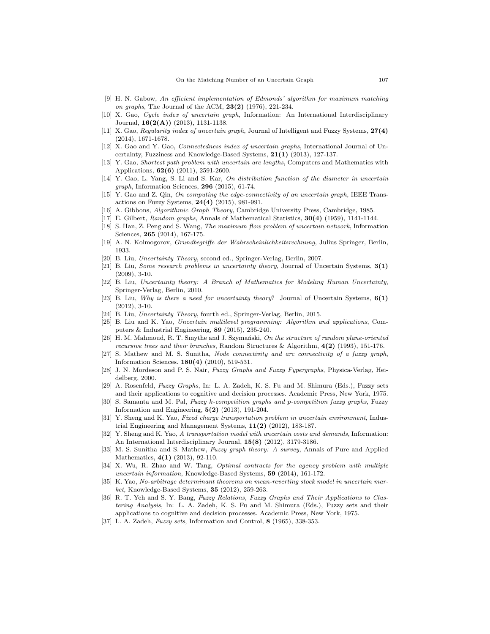- [9] H. N. Gabow, An efficient implementation of Edmonds' algorithm for maximum matching on graphs, The Journal of the ACM,  $23(2)$  (1976), 221-234.
- [10] X. Gao, Cycle index of uncertain graph, Information: An International Interdisciplinary Journal,  $16(2(A))$  (2013), 1131-1138.
- [11] X. Gao, Regularity index of uncertain graph, Journal of Intelligent and Fuzzy Systems, 27(4) (2014), 1671-1678.
- [12] X. Gao and Y. Gao, Connectedness index of uncertain graphs, International Journal of Uncertainty, Fuzziness and Knowledge-Based Systems, 21(1) (2013), 127-137.
- [13] Y. Gao, Shortest path problem with uncertain arc lengths, Computers and Mathematics with Applications, 62(6) (2011), 2591-2600.
- [14] Y. Gao, L. Yang, S. Li and S. Kar, On distribution function of the diameter in uncertain graph, Information Sciences, 296 (2015), 61-74.
- [15] Y. Gao and Z. Qin, On computing the edge-connectivity of an uncertain graph, IEEE Transactions on Fuzzy Systems, 24(4) (2015), 981-991.
- [16] A. Gibbons, Algorithmic Graph Theory, Cambridge University Press, Cambridge, 1985.
- [17] E. Gilbert, Random graphs, Annals of Mathematical Statistics, 30(4) (1959), 1141-1144.
- [18] S. Han, Z. Peng and S. Wang, The maximum flow problem of uncertain network, Information Sciences, 265 (2014), 167-175.
- [19] A. N. Kolmogorov, Grundbegriffe der Wahrscheinlichkeitsrechnung, Julius Springer, Berlin, 1933.
- [20] B. Liu, Uncertainty Theory, second ed., Springer-Verlag, Berlin, 2007.
- [21] B. Liu, Some research problems in uncertainty theory, Journal of Uncertain Systems, 3(1) (2009), 3-10.
- [22] B. Liu, Uncertainty theory: A Branch of Mathematics for Modeling Human Uncertainty, Springer-Verlag, Berlin, 2010.
- [23] B. Liu, Why is there a need for uncertainty theory? Journal of Uncertain Systems,  $6(1)$ (2012), 3-10.
- [24] B. Liu, Uncertainty Theory, fourth ed., Springer-Verlag, Berlin, 2015.
- [25] B. Liu and K. Yao, Uncertain multilevel programming: Algorithm and applications, Computers & Industrial Engineering, 89 (2015), 235-240.
- [26] H. M. Mahmoud, R. T. Smythe and J. Szymański, On the structure of random plane-oriented recursive trees and their branches, Random Structures & Algorithm,  $4(2)$  (1993), 151-176.
- [27] S. Mathew and M. S. Sunitha, Node connectivity and arc connectivity of a fuzzy graph, Information Sciences. 180(4) (2010), 519-531.
- [28] J. N. Mordeson and P. S. Nair, Fuzzy Graphs and Fuzzy Fypergraphs, Physica-Verlag, Heidelberg, 2000.
- [29] A. Rosenfeld, Fuzzy Graphs, In: L. A. Zadeh, K. S. Fu and M. Shimura (Eds.), Fuzzy sets and their applications to cognitive and decision processes. Academic Press, New York, 1975.
- [30] S. Samanta and M. Pal, Fuzzy k-competition graphs and p-competition fuzzy graphs, Fuzzy Information and Engineering,  $5(2)$   $(2013)$ , 191-204.
- [31] Y. Sheng and K. Yao, Fixed charge transportation problem in uncertain environment, Industrial Engineering and Management Systems,  $11(2)$  (2012), 183-187.
- [32] Y. Sheng and K. Yao, A transportation model with uncertain costs and demands, Information: An International Interdisciplinary Journal, 15(8) (2012), 3179-3186.
- [33] M. S. Sunitha and S. Mathew, Fuzzy graph theory: A survey, Annals of Pure and Applied Mathematics, 4(1) (2013), 92-110.
- [34] X. Wu, R. Zhao and W. Tang, Optimal contracts for the agency problem with multiple uncertain information, Knowledge-Based Systems, 59 (2014), 161-172.
- [35] K. Yao, No-arbitrage determinant theorems on mean-reverting stock model in uncertain market, Knowledge-Based Systems, 35 (2012), 259-263.
- [36] R. T. Yeh and S. Y. Bang, Fuzzy Relations, Fuzzy Graphs and Their Applications to Clustering Analysis, In: L. A. Zadeh, K. S. Fu and M. Shimura (Eds.), Fuzzy sets and their applications to cognitive and decision processes. Academic Press, New York, 1975.
- [37] L. A. Zadeh, Fuzzy sets, Information and Control, 8 (1965), 338-353.